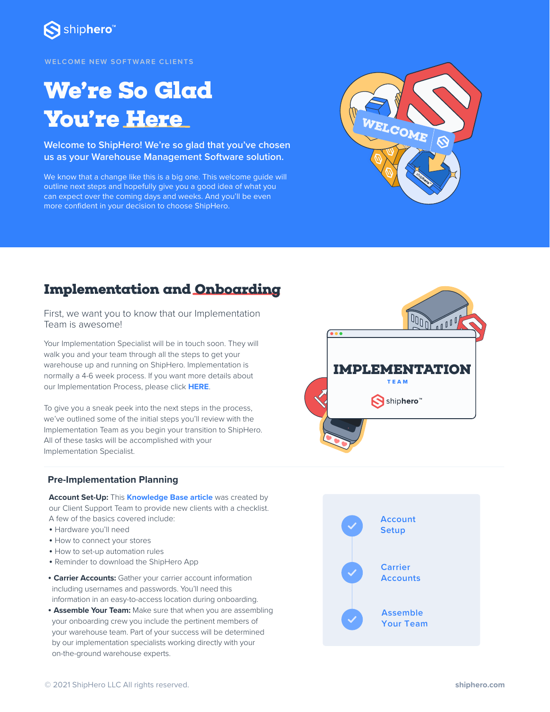

**WELCOME NEW SOFTWARE CL IENTS**

# **We're So Glad You're Here**  $W_{\text{E}_\text{LOOME}}$

**Welcome to ShipHero! We're so glad that you've chosen us as your Warehouse Management Software solution.**

We know that a change like this is a big one. This welcome guide will outline next steps and hopefully give you a good idea of what you can expect over the coming days and weeks. And you'll be even more confident in your decision to choose ShipHero.



### **Implementation and Onboarding**

First, we want you to know that our Implementation Team is awesome!

Your Implementation Specialist will be in touch soon. They will walk you and your team through all the steps to get your warehouse up and running on ShipHero. Implementation is normally a 4-6 week process. If you want more details about our Implementation Process, please click **[HERE](https://shiphero.com/implementation/)**.

To give you a sneak peek into the next steps in the process, we've outlined some of the initial steps you'll review with the Implementation Team as you begin your transition to ShipHero. All of these tasks will be accomplished with your Implementation Specialist.

#### **Pre-Implementation Planning**

**Account Set-Up:** This **[Knowledge Base article](https://software-help.shiphero.com/hc/en-us/articles/4419336189197-Basic-Account-Set-Up)** was created by our Client Support Team to provide new clients with a checklist. A few of the basics covered include:

- Hardware you'll need
- How to connect your stores
- How to set-up automation rules
- Reminder to download the ShipHero App
- • **Carrier Accounts:** Gather your carrier account information including usernames and passwords. You'll need this information in an easy-to-access location during onboarding.
- • **Assemble Your Team:** Make sure that when you are assembling your onboarding crew you include the pertinent members of your warehouse team. Part of your success will be determined by our implementation specialists working directly with your on-the-ground warehouse experts.